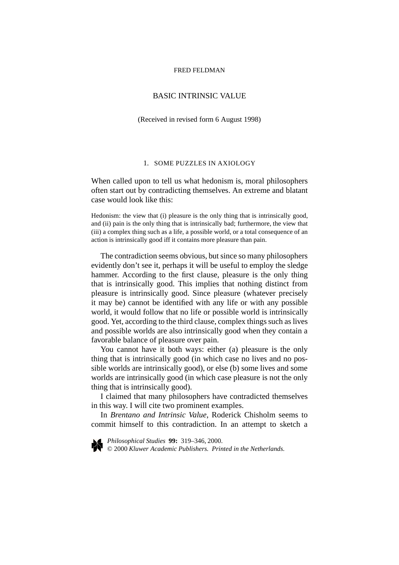## BASIC INTRINSIC VALUE

(Received in revised form 6 August 1998)

#### 1. SOME PUZZLES IN AXIOLOGY

When called upon to tell us what hedonism is, moral philosophers often start out by contradicting themselves. An extreme and blatant case would look like this:

Hedonism: the view that (i) pleasure is the only thing that is intrinsically good, and (ii) pain is the only thing that is intrinsically bad; furthermore, the view that (iii) a complex thing such as a life, a possible world, or a total consequence of an action is intrinsically good iff it contains more pleasure than pain.

The contradiction seems obvious, but since so many philosophers evidently don't see it, perhaps it will be useful to employ the sledge hammer. According to the first clause, pleasure is the only thing that is intrinsically good. This implies that nothing distinct from pleasure is intrinsically good. Since pleasure (whatever precisely it may be) cannot be identified with any life or with any possible world, it would follow that no life or possible world is intrinsically good. Yet, according to the third clause, complex things such as lives and possible worlds are also intrinsically good when they contain a favorable balance of pleasure over pain.

You cannot have it both ways: either (a) pleasure is the only thing that is intrinsically good (in which case no lives and no possible worlds are intrinsically good), or else (b) some lives and some worlds are intrinsically good (in which case pleasure is not the only thing that is intrinsically good).

I claimed that many philosophers have contradicted themselves in this way. I will cite two prominent examples.

In *Brentano and Intrinsic Value*, Roderick Chisholm seems to commit himself to this contradiction. In an attempt to sketch a

*Philosophical Studies* **99:** 319–346, 2000. © 2000 *Kluwer Academic Publishers. Printed in the Netherlands.*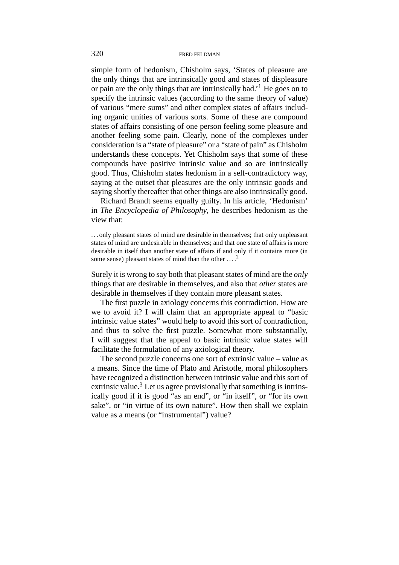simple form of hedonism, Chisholm says, 'States of pleasure are the only things that are intrinsically good and states of displeasure or pain are the only things that are intrinsically bad.'<sup>1</sup> He goes on to specify the intrinsic values (according to the same theory of value) of various "mere sums" and other complex states of affairs including organic unities of various sorts. Some of these are compound states of affairs consisting of one person feeling some pleasure and another feeling some pain. Clearly, none of the complexes under consideration is a "state of pleasure" or a "state of pain" as Chisholm understands these concepts. Yet Chisholm says that some of these compounds have positive intrinsic value and so are intrinsically good. Thus, Chisholm states hedonism in a self-contradictory way, saying at the outset that pleasures are the only intrinsic goods and saying shortly thereafter that other things are also intrinsically good.

Richard Brandt seems equally guilty. In his article, 'Hedonism' in *The Encyclopedia of Philosophy*, he describes hedonism as the view that:

. . . only pleasant states of mind are desirable in themselves; that only unpleasant states of mind are undesirable in themselves; and that one state of affairs is more desirable in itself than another state of affairs if and only if it contains more (in some sense) pleasant states of mind than the other ....<sup>2</sup>

Surely it is wrong to say both that pleasant states of mind are the *only* things that are desirable in themselves, and also that *other* states are desirable in themselves if they contain more pleasant states.

The first puzzle in axiology concerns this contradiction. How are we to avoid it? I will claim that an appropriate appeal to "basic intrinsic value states" would help to avoid this sort of contradiction, and thus to solve the first puzzle. Somewhat more substantially, I will suggest that the appeal to basic intrinsic value states will facilitate the formulation of any axiological theory.

The second puzzle concerns one sort of extrinsic value – value as a means. Since the time of Plato and Aristotle, moral philosophers have recognized a distinction between intrinsic value and this sort of extrinsic value.<sup>3</sup> Let us agree provisionally that something is intrinsically good if it is good "as an end", or "in itself", or "for its own sake", or "in virtue of its own nature". How then shall we explain value as a means (or "instrumental") value?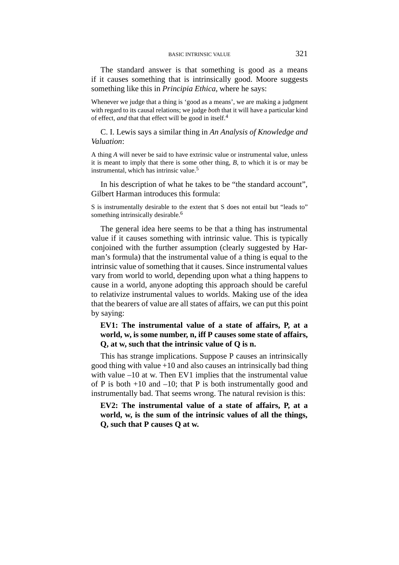The standard answer is that something is good as a means if it causes something that is intrinsically good. Moore suggests something like this in *Principia Ethica*, where he says:

Whenever we judge that a thing is 'good as a means', we are making a judgment with regard to its causal relations; we judge *both* that it will have a particular kind of effect, *and* that that effect will be good in itself.<sup>4</sup>

C. I. Lewis says a similar thing in *An Analysis of Knowledge and Valuation*:

A thing *A* will never be said to have extrinsic value or instrumental value, unless it is meant to imply that there is some other thing, *B*, to which it is or may be instrumental, which has intrinsic value.<sup>5</sup>

In his description of what he takes to be "the standard account", Gilbert Harman introduces this formula:

S is instrumentally desirable to the extent that S does not entail but "leads to" something intrinsically desirable.<sup>6</sup>

The general idea here seems to be that a thing has instrumental value if it causes something with intrinsic value. This is typically conjoined with the further assumption (clearly suggested by Harman's formula) that the instrumental value of a thing is equal to the intrinsic value of something that it causes. Since instrumental values vary from world to world, depending upon what a thing happens to cause in a world, anyone adopting this approach should be careful to relativize instrumental values to worlds. Making use of the idea that the bearers of value are all states of affairs, we can put this point by saying:

# **EV1: The instrumental value of a state of affairs, P, at a world, w, is some number, n, iff P causes some state of affairs, Q, at w, such that the intrinsic value of Q is n.**

This has strange implications. Suppose P causes an intrinsically good thing with value  $+10$  and also causes an intrinsically bad thing with value –10 at w. Then EV1 implies that the instrumental value of P is both  $+10$  and  $-10$ ; that P is both instrumentally good and instrumentally bad. That seems wrong. The natural revision is this:

**EV2: The instrumental value of a state of affairs, P, at a world, w, is the sum of the intrinsic values of all the things, Q, such that P causes Q at w.**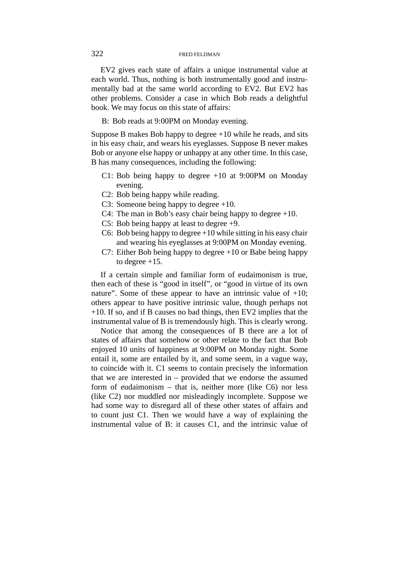EV2 gives each state of affairs a unique instrumental value at each world. Thus, nothing is both instrumentally good and instrumentally bad at the same world according to EV2. But EV2 has other problems. Consider a case in which Bob reads a delightful book. We may focus on this state of affairs:

B: Bob reads at 9:00PM on Monday evening.

Suppose B makes Bob happy to degree  $+10$  while he reads, and sits in his easy chair, and wears his eyeglasses. Suppose B never makes Bob or anyone else happy or unhappy at any other time. In this case, B has many consequences, including the following:

- C1: Bob being happy to degree +10 at 9:00PM on Monday evening.
- C2: Bob being happy while reading.
- C3: Someone being happy to degree +10.
- C4: The man in Bob's easy chair being happy to degree +10.
- C5: Bob being happy at least to degree +9.
- C6: Bob being happy to degree +10 while sitting in his easy chair and wearing his eyeglasses at 9:00PM on Monday evening.
- C7: Either Bob being happy to degree +10 or Babe being happy to degree  $+15$ .

If a certain simple and familiar form of eudaimonism is true, then each of these is "good in itself", or "good in virtue of its own nature". Some of these appear to have an intrinsic value of  $+10$ ; others appear to have positive intrinsic value, though perhaps not +10. If so, and if B causes no bad things, then EV2 implies that the instrumental value of B is tremendously high. This is clearly wrong.

Notice that among the consequences of B there are a lot of states of affairs that somehow or other relate to the fact that Bob enjoyed 10 units of happiness at 9:00PM on Monday night. Some entail it, some are entailed by it, and some seem, in a vague way, to coincide with it. C1 seems to contain precisely the information that we are interested in – provided that we endorse the assumed form of eudaimonism – that is, neither more (like C6) nor less (like C2) nor muddled nor misleadingly incomplete. Suppose we had some way to disregard all of these other states of affairs and to count just C1. Then we would have a way of explaining the instrumental value of B: it causes C1, and the intrinsic value of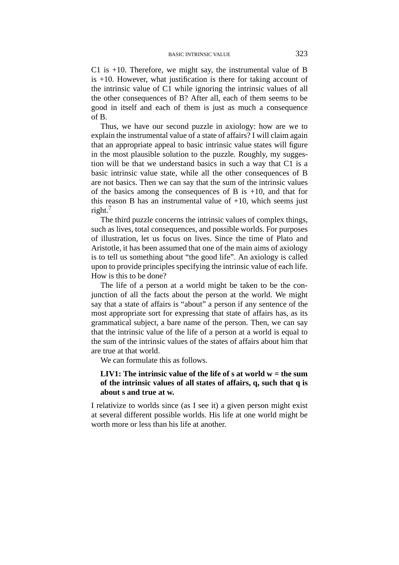C1 is  $+10$ . Therefore, we might say, the instrumental value of B is  $+10$ . However, what justification is there for taking account of the intrinsic value of C1 while ignoring the intrinsic values of all the other consequences of B? After all, each of them seems to be good in itself and each of them is just as much a consequence of B.

Thus, we have our second puzzle in axiology: how are we to explain the instrumental value of a state of affairs? I will claim again that an appropriate appeal to basic intrinsic value states will figure in the most plausible solution to the puzzle. Roughly, my suggestion will be that we understand basics in such a way that C1 is a basic intrinsic value state, while all the other consequences of B are not basics. Then we can say that the sum of the intrinsic values of the basics among the consequences of B is  $+10$ , and that for this reason B has an instrumental value of  $+10$ , which seems just right.7

The third puzzle concerns the intrinsic values of complex things, such as lives, total consequences, and possible worlds. For purposes of illustration, let us focus on lives. Since the time of Plato and Aristotle, it has been assumed that one of the main aims of axiology is to tell us something about "the good life". An axiology is called upon to provide principles specifying the intrinsic value of each life. How is this to be done?

The life of a person at a world might be taken to be the conjunction of all the facts about the person at the world. We might say that a state of affairs is "about" a person if any sentence of the most appropriate sort for expressing that state of affairs has, as its grammatical subject, a bare name of the person. Then, we can say that the intrinsic value of the life of a person at a world is equal to the sum of the intrinsic values of the states of affairs about him that are true at that world.

We can formulate this as follows.

# **LIV1: The intrinsic value of the life of s at world w = the sum of the intrinsic values of all states of affairs, q, such that q is about s and true at w.**

I relativize to worlds since (as I see it) a given person might exist at several different possible worlds. His life at one world might be worth more or less than his life at another.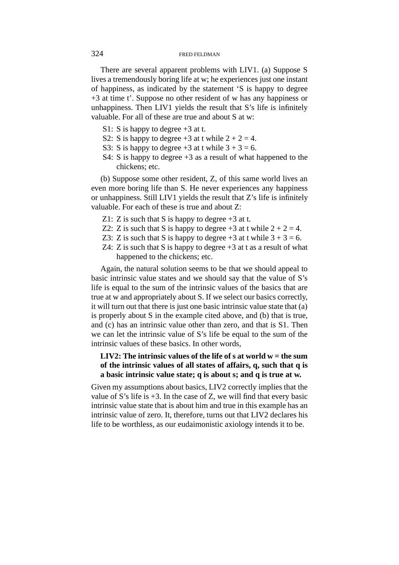There are several apparent problems with LIV1. (a) Suppose S lives a tremendously boring life at w; he experiences just one instant of happiness, as indicated by the statement 'S is happy to degree +3 at time t'. Suppose no other resident of w has any happiness or unhappiness. Then LIV1 yields the result that S's life is infinitely valuable. For all of these are true and about S at w:

- S1: S is happy to degree +3 at t.
- S2: S is happy to degree  $+3$  at t while  $2 + 2 = 4$ .
- S3: S is happy to degree  $+3$  at t while  $3 + 3 = 6$ .
- S4: S is happy to degree +3 as a result of what happened to the chickens; etc.

(b) Suppose some other resident, Z, of this same world lives an even more boring life than S. He never experiences any happiness or unhappiness. Still LIV1 yields the result that Z's life is infinitely valuable. For each of these is true and about Z:

- Z1: Z is such that S is happy to degree  $+3$  at t.
- Z2: Z is such that S is happy to degree  $+3$  at t while  $2 + 2 = 4$ .
- Z3: Z is such that S is happy to degree  $+3$  at t while  $3 + 3 = 6$ .
- Z4: Z is such that S is happy to degree  $+3$  at t as a result of what happened to the chickens; etc.

Again, the natural solution seems to be that we should appeal to basic intrinsic value states and we should say that the value of S's life is equal to the sum of the intrinsic values of the basics that are true at w and appropriately about S. If we select our basics correctly, it will turn out that there is just one basic intrinsic value state that (a) is properly about S in the example cited above, and (b) that is true, and (c) has an intrinsic value other than zero, and that is S1. Then we can let the intrinsic value of S's life be equal to the sum of the intrinsic values of these basics. In other words

# **LIV2: The intrinsic values of the life of s at world w = the sum of the intrinsic values of all states of affairs, q, such that q is a basic intrinsic value state; q is about s; and q is true at w.**

Given my assumptions about basics, LIV2 correctly implies that the value of S's life is  $+3$ . In the case of Z, we will find that every basic intrinsic value state that is about him and true in this example has an intrinsic value of zero. It, therefore, turns out that LIV2 declares his life to be worthless, as our eudaimonistic axiology intends it to be.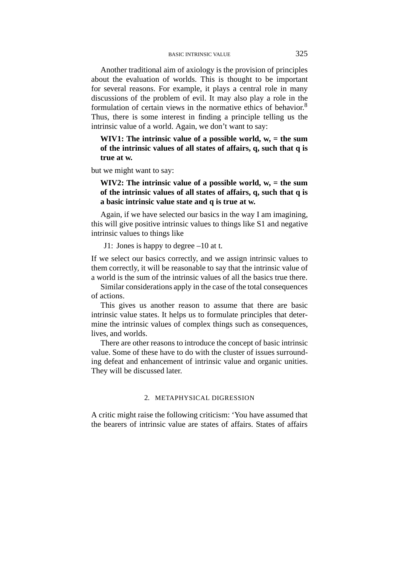Another traditional aim of axiology is the provision of principles about the evaluation of worlds. This is thought to be important for several reasons. For example, it plays a central role in many discussions of the problem of evil. It may also play a role in the formulation of certain views in the normative ethics of behavior.8 Thus, there is some interest in finding a principle telling us the intrinsic value of a world. Again, we don't want to say:

**WIV1: The intrinsic value of a possible world, w, = the sum of the intrinsic values of all states of affairs, q, such that q is true at w.**

but we might want to say:

# **WIV2: The intrinsic value of a possible world, w, = the sum of the intrinsic values of all states of affairs, q, such that q is a basic intrinsic value state and q is true at w.**

Again, if we have selected our basics in the way I am imagining, this will give positive intrinsic values to things like S1 and negative intrinsic values to things like

J1: Jones is happy to degree –10 at t.

If we select our basics correctly, and we assign intrinsic values to them correctly, it will be reasonable to say that the intrinsic value of a world is the sum of the intrinsic values of all the basics true there.

Similar considerations apply in the case of the total consequences of actions.

This gives us another reason to assume that there are basic intrinsic value states. It helps us to formulate principles that determine the intrinsic values of complex things such as consequences, lives, and worlds.

There are other reasons to introduce the concept of basic intrinsic value. Some of these have to do with the cluster of issues surrounding defeat and enhancement of intrinsic value and organic unities. They will be discussed later.

### 2. METAPHYSICAL DIGRESSION

A critic might raise the following criticism: 'You have assumed that the bearers of intrinsic value are states of affairs. States of affairs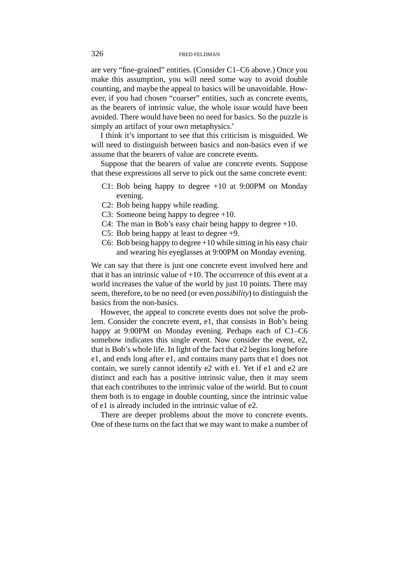are very "fine-grained" entities. (Consider C1–C6 above.) Once you make this assumption, you will need some way to avoid double counting, and maybe the appeal to basics will be unavoidable. However, if you had chosen "coarser" entities, such as concrete events, as the bearers of intrinsic value, the whole issue would have been avoided. There would have been no need for basics. So the puzzle is simply an artifact of your own metaphysics.'

I think it's important to see that this criticism is misguided. We will need to distinguish between basics and non-basics even if we assume that the bearers of value are concrete events.

Suppose that the bearers of value are concrete events. Suppose that these expressions all serve to pick out the same concrete event:

- C1: Bob being happy to degree  $+10$  at 9:00PM on Monday evening.
- C2: Bob being happy while reading.
- C3: Someone being happy to degree +10.
- C4: The man in Bob's easy chair being happy to degree +10.
- C5: Bob being happy at least to degree +9.
- C6: Bob being happy to degree +10 while sitting in his easy chair and wearing his eyeglasses at 9:00PM on Monday evening.

We can say that there is just one concrete event involved here and that it has an intrinsic value of  $+10$ . The occurrence of this event at a world increases the value of the world by just 10 points. There may seem, therefore, to be no need (or even *possibility*) to distinguish the basics from the non-basics.

However, the appeal to concrete events does not solve the problem. Consider the concrete event, e1, that consists in Bob's being happy at 9:00PM on Monday evening. Perhaps each of C1–C6 somehow indicates this single event. Now consider the event, e2, that is Bob's whole life. In light of the fact that e2 begins long before e1, and ends long after e1, and contains many parts that e1 does not contain, we surely cannot identify e2 with e1. Yet if e1 and e2 are distinct and each has a positive intrinsic value, then it may seem that each contributes to the intrinsic value of the world. But to count them both is to engage in double counting, since the intrinsic value of e1 is already included in the intrinsic value of e2.

There are deeper problems about the move to concrete events. One of these turns on the fact that we may want to make a number of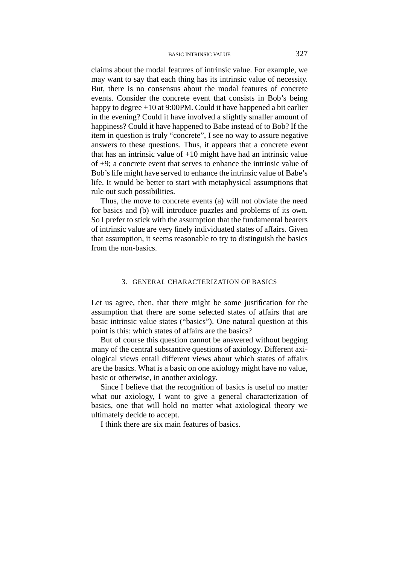claims about the modal features of intrinsic value. For example, we may want to say that each thing has its intrinsic value of necessity. But, there is no consensus about the modal features of concrete events. Consider the concrete event that consists in Bob's being happy to degree +10 at 9:00PM. Could it have happened a bit earlier in the evening? Could it have involved a slightly smaller amount of happiness? Could it have happened to Babe instead of to Bob? If the item in question is truly "concrete", I see no way to assure negative answers to these questions. Thus, it appears that a concrete event that has an intrinsic value of  $+10$  might have had an intrinsic value of +9; a concrete event that serves to enhance the intrinsic value of Bob's life might have served to enhance the intrinsic value of Babe's life. It would be better to start with metaphysical assumptions that rule out such possibilities.

Thus, the move to concrete events (a) will not obviate the need for basics and (b) will introduce puzzles and problems of its own. So I prefer to stick with the assumption that the fundamental bearers of intrinsic value are very finely individuated states of affairs. Given that assumption, it seems reasonable to try to distinguish the basics from the non-basics.

### 3. GENERAL CHARACTERIZATION OF BASICS

Let us agree, then, that there might be some justification for the assumption that there are some selected states of affairs that are basic intrinsic value states ("basics"). One natural question at this point is this: which states of affairs are the basics?

But of course this question cannot be answered without begging many of the central substantive questions of axiology. Different axiological views entail different views about which states of affairs are the basics. What is a basic on one axiology might have no value, basic or otherwise, in another axiology.

Since I believe that the recognition of basics is useful no matter what our axiology, I want to give a general characterization of basics, one that will hold no matter what axiological theory we ultimately decide to accept.

I think there are six main features of basics.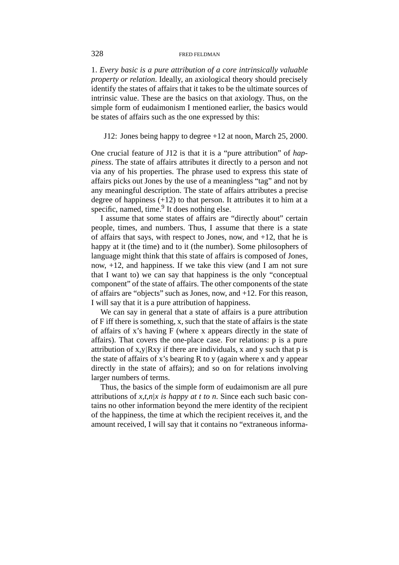1. *Every basic is a pure attribution of a core intrinsically valuable property or relation*. Ideally, an axiological theory should precisely identify the states of affairs that it takes to be the ultimate sources of intrinsic value. These are the basics on that axiology. Thus, on the simple form of eudaimonism I mentioned earlier, the basics would be states of affairs such as the one expressed by this:

J12: Jones being happy to degree +12 at noon, March 25, 2000.

One crucial feature of J12 is that it is a "pure attribution" of *happiness*. The state of affairs attributes it directly to a person and not via any of his properties. The phrase used to express this state of affairs picks out Jones by the use of a meaningless "tag" and not by any meaningful description. The state of affairs attributes a precise degree of happiness  $(+12)$  to that person. It attributes it to him at a specific, named, time.<sup>9</sup> It does nothing else.

I assume that some states of affairs are "directly about" certain people, times, and numbers. Thus, I assume that there is a state of affairs that says, with respect to Jones, now, and  $+12$ , that he is happy at it (the time) and to it (the number). Some philosophers of language might think that this state of affairs is composed of Jones, now, +12, and happiness. If we take this view (and I am not sure that I want to) we can say that happiness is the only "conceptual component" of the state of affairs. The other components of the state of affairs are "objects" such as Jones, now, and +12. For this reason, I will say that it is a pure attribution of happiness.

We can say in general that a state of affairs is a pure attribution of F iff there is something, x, such that the state of affairs is the state of affairs of x's having F (where x appears directly in the state of affairs). That covers the one-place case. For relations: p is a pure attribution of  $x,y|Rxy$  if there are individuals, x and y such that p is the state of affairs of x's bearing R to y (again where x and y appear directly in the state of affairs); and so on for relations involving larger numbers of terms.

Thus, the basics of the simple form of eudaimonism are all pure attributions of *x,t,n*|*x is happy at t to n*. Since each such basic contains no other information beyond the mere identity of the recipient of the happiness, the time at which the recipient receives it, and the amount received, I will say that it contains no "extraneous informa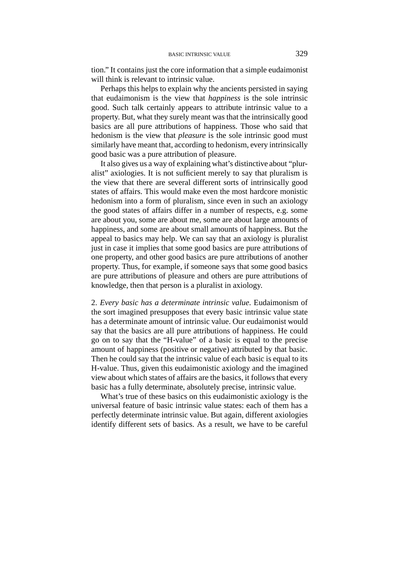tion." It contains just the core information that a simple eudaimonist will think is relevant to intrinsic value.

Perhaps this helps to explain why the ancients persisted in saying that eudaimonism is the view that *happiness* is the sole intrinsic good. Such talk certainly appears to attribute intrinsic value to a property. But, what they surely meant was that the intrinsically good basics are all pure attributions of happiness. Those who said that hedonism is the view that *pleasure* is the sole intrinsic good must similarly have meant that, according to hedonism, every intrinsically good basic was a pure attribution of pleasure.

It also gives us a way of explaining what's distinctive about "pluralist" axiologies. It is not sufficient merely to say that pluralism is the view that there are several different sorts of intrinsically good states of affairs. This would make even the most hardcore monistic hedonism into a form of pluralism, since even in such an axiology the good states of affairs differ in a number of respects, e.g. some are about you, some are about me, some are about large amounts of happiness, and some are about small amounts of happiness. But the appeal to basics may help. We can say that an axiology is pluralist just in case it implies that some good basics are pure attributions of one property, and other good basics are pure attributions of another property. Thus, for example, if someone says that some good basics are pure attributions of pleasure and others are pure attributions of knowledge, then that person is a pluralist in axiology.

2. *Every basic has a determinate intrinsic value*. Eudaimonism of the sort imagined presupposes that every basic intrinsic value state has a determinate amount of intrinsic value. Our eudaimonist would say that the basics are all pure attributions of happiness. He could go on to say that the "H-value" of a basic is equal to the precise amount of happiness (positive or negative) attributed by that basic. Then he could say that the intrinsic value of each basic is equal to its H-value. Thus, given this eudaimonistic axiology and the imagined view about which states of affairs are the basics, it follows that every basic has a fully determinate, absolutely precise, intrinsic value.

What's true of these basics on this eudaimonistic axiology is the universal feature of basic intrinsic value states: each of them has a perfectly determinate intrinsic value. But again, different axiologies identify different sets of basics. As a result, we have to be careful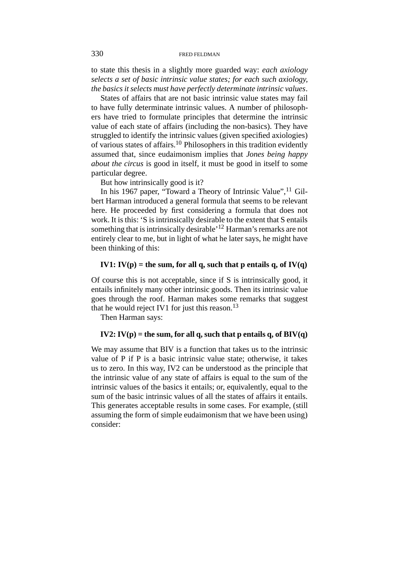to state this thesis in a slightly more guarded way: *each axiology selects a set of basic intrinsic value states; for each such axiology, the basics it selects must have perfectly determinate intrinsic values*.

States of affairs that are not basic intrinsic value states may fail to have fully determinate intrinsic values. A number of philosophers have tried to formulate principles that determine the intrinsic value of each state of affairs (including the non-basics). They have struggled to identify the intrinsic values (given specified axiologies) of various states of affairs.10 Philosophers in this tradition evidently assumed that, since eudaimonism implies that *Jones being happy about the circus* is good in itself, it must be good in itself to some particular degree.

But how intrinsically good is it?

In his 1967 paper, "Toward a Theory of Intrinsic Value", $^{11}$  Gilbert Harman introduced a general formula that seems to be relevant here. He proceeded by first considering a formula that does not work. It is this: 'S is intrinsically desirable to the extent that S entails something that is intrinsically desirable<sup>'12</sup> Harman's remarks are not entirely clear to me, but in light of what he later says, he might have been thinking of this:

## **IV1:**  $IV(p) =$  the sum, for all q, such that p entails q, of  $IV(q)$

Of course this is not acceptable, since if S is intrinsically good, it entails infinitely many other intrinsic goods. Then its intrinsic value goes through the roof. Harman makes some remarks that suggest that he would reject IV1 for just this reason.<sup>13</sup>

Then Harman says:

### **IV2:**  $IV(p) =$  the sum, for all q, such that p entails q, of  $BIV(q)$

We may assume that BIV is a function that takes us to the intrinsic value of P if P is a basic intrinsic value state; otherwise, it takes us to zero. In this way, IV2 can be understood as the principle that the intrinsic value of any state of affairs is equal to the sum of the intrinsic values of the basics it entails; or, equivalently, equal to the sum of the basic intrinsic values of all the states of affairs it entails. This generates acceptable results in some cases. For example, (still assuming the form of simple eudaimonism that we have been using) consider: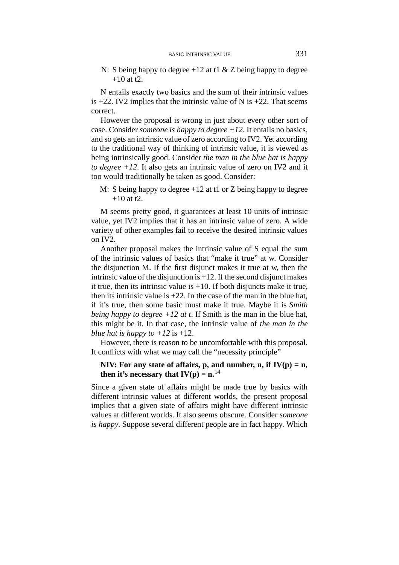N: S being happy to degree  $+12$  at t1 & Z being happy to degree  $+10$  at t<sub>2</sub>.

N entails exactly two basics and the sum of their intrinsic values is  $+22$ . IV2 implies that the intrinsic value of N is  $+22$ . That seems correct.

However the proposal is wrong in just about every other sort of case. Consider *someone is happy to degree +12*. It entails no basics, and so gets an intrinsic value of zero according to IV2. Yet according to the traditional way of thinking of intrinsic value, it is viewed as being intrinsically good. Consider *the man in the blue hat is happy to degree +12*. It also gets an intrinsic value of zero on IV2 and it too would traditionally be taken as good. Consider:

M: S being happy to degree +12 at t1 or Z being happy to degree  $+10$  at t<sub>2</sub>.

M seems pretty good, it guarantees at least 10 units of intrinsic value, yet IV2 implies that it has an intrinsic value of zero. A wide variety of other examples fail to receive the desired intrinsic values on IV2.

Another proposal makes the intrinsic value of S equal the sum of the intrinsic values of basics that "make it true" at w. Consider the disjunction M. If the first disjunct makes it true at w, then the intrinsic value of the disjunction is  $+12$ . If the second disjunct makes it true, then its intrinsic value is  $+10$ . If both disjuncts make it true, then its intrinsic value is  $+22$ . In the case of the man in the blue hat, if it's true, then some basic must make it true. Maybe it is *Smith being happy to degree +12 at t*. If Smith is the man in the blue hat, this might be it. In that case, the intrinsic value of *the man in the blue hat is happy to*  $+12$  *is*  $+12$ *.* 

However, there is reason to be uncomfortable with this proposal. It conflicts with what we may call the "necessity principle"

# **NIV:** For any state of affairs, p, and number, n, if  $IV(p) = n$ , **then it's necessary that**  $IV(p) = n^{14}$

Since a given state of affairs might be made true by basics with different intrinsic values at different worlds, the present proposal implies that a given state of affairs might have different intrinsic values at different worlds. It also seems obscure. Consider *someone is happy*. Suppose several different people are in fact happy. Which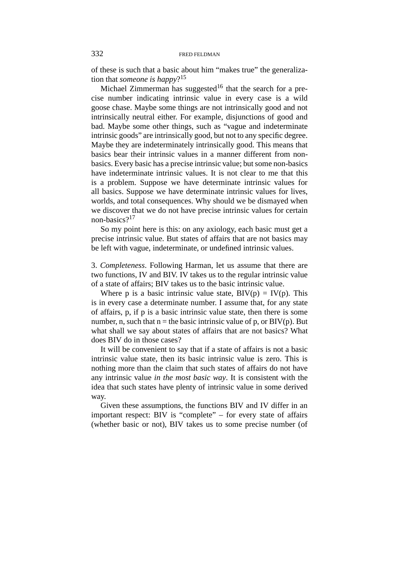of these is such that a basic about him "makes true" the generalization that *someone is happy*?15

Michael Zimmerman has suggested<sup>16</sup> that the search for a precise number indicating intrinsic value in every case is a wild goose chase. Maybe some things are not intrinsically good and not intrinsically neutral either. For example, disjunctions of good and bad. Maybe some other things, such as "vague and indeterminate intrinsic goods" are intrinsically good, but not to any specific degree. Maybe they are indeterminately intrinsically good. This means that basics bear their intrinsic values in a manner different from nonbasics. Every basic has a precise intrinsic value; but some non-basics have indeterminate intrinsic values. It is not clear to me that this is a problem. Suppose we have determinate intrinsic values for all basics. Suppose we have determinate intrinsic values for lives, worlds, and total consequences. Why should we be dismayed when we discover that we do not have precise intrinsic values for certain non-basics?17

So my point here is this: on any axiology, each basic must get a precise intrinsic value. But states of affairs that are not basics may be left with vague, indeterminate, or undefined intrinsic values.

3. *Completeness*. Following Harman, let us assume that there are two functions, IV and BIV. IV takes us to the regular intrinsic value of a state of affairs; BIV takes us to the basic intrinsic value.

Where p is a basic intrinsic value state,  $BV(p) = IV(p)$ . This is in every case a determinate number. I assume that, for any state of affairs, p, if p is a basic intrinsic value state, then there is some number, n, such that  $n =$  the basic intrinsic value of p, or BIV(p). But what shall we say about states of affairs that are not basics? What does BIV do in those cases?

It will be convenient to say that if a state of affairs is not a basic intrinsic value state, then its basic intrinsic value is zero. This is nothing more than the claim that such states of affairs do not have any intrinsic value *in the most basic way*. It is consistent with the idea that such states have plenty of intrinsic value in some derived way.

Given these assumptions, the functions BIV and IV differ in an important respect: BIV is "complete" – for every state of affairs (whether basic or not), BIV takes us to some precise number (of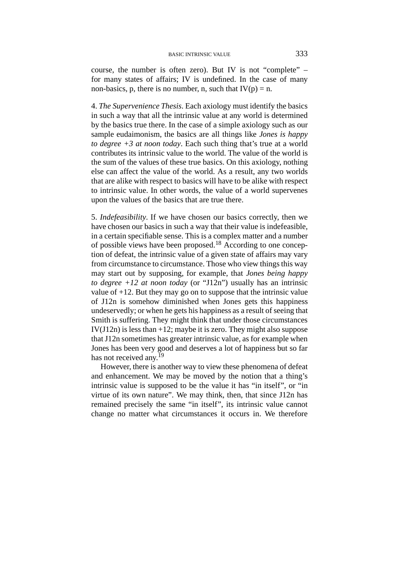course, the number is often zero). But IV is not "complete" – for many states of affairs; IV is undefined. In the case of many non-basics, p, there is no number, n, such that  $IV(p) = n$ .

4. *The Supervenience Thesis*. Each axiology must identify the basics in such a way that all the intrinsic value at any world is determined by the basics true there. In the case of a simple axiology such as our sample eudaimonism, the basics are all things like *Jones is happy to degree +3 at noon today*. Each such thing that's true at a world contributes its intrinsic value to the world. The value of the world is the sum of the values of these true basics. On this axiology, nothing else can affect the value of the world. As a result, any two worlds that are alike with respect to basics will have to be alike with respect to intrinsic value. In other words, the value of a world supervenes upon the values of the basics that are true there.

5. *Indefeasibility*. If we have chosen our basics correctly, then we have chosen our basics in such a way that their value is indefeasible, in a certain specifiable sense. This is a complex matter and a number of possible views have been proposed.<sup>18</sup> According to one conception of defeat, the intrinsic value of a given state of affairs may vary from circumstance to circumstance. Those who view things this way may start out by supposing, for example, that *Jones being happy to degree +12 at noon today* (or "J12n") usually has an intrinsic value of  $+12$ . But they may go on to suppose that the intrinsic value of J12n is somehow diminished when Jones gets this happiness undeservedly; or when he gets his happiness as a result of seeing that Smith is suffering. They might think that under those circumstances IV(J12n) is less than  $+12$ ; maybe it is zero. They might also suppose that J12n sometimes has greater intrinsic value, as for example when Jones has been very good and deserves a lot of happiness but so far has not received any.<sup>19</sup>

However, there is another way to view these phenomena of defeat and enhancement. We may be moved by the notion that a thing's intrinsic value is supposed to be the value it has "in itself", or "in virtue of its own nature". We may think, then, that since J12n has remained precisely the same "in itself", its intrinsic value cannot change no matter what circumstances it occurs in. We therefore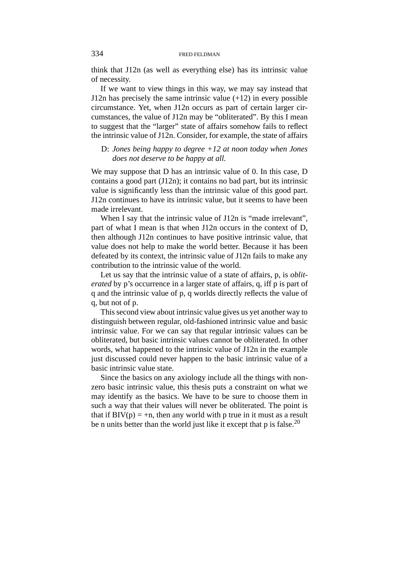think that J12n (as well as everything else) has its intrinsic value of necessity.

If we want to view things in this way, we may say instead that J12n has precisely the same intrinsic value  $(+12)$  in every possible circumstance. Yet, when J12n occurs as part of certain larger circumstances, the value of J12n may be "obliterated". By this I mean to suggest that the "larger" state of affairs somehow fails to reflect the intrinsic value of J12n. Consider, for example, the state of affairs

D: *Jones being happy to degree +12 at noon today when Jones does not deserve to be happy at all.*

We may suppose that D has an intrinsic value of 0. In this case, D contains a good part (J12n); it contains no bad part, but its intrinsic value is significantly less than the intrinsic value of this good part. J12n continues to have its intrinsic value, but it seems to have been made irrelevant.

When I say that the intrinsic value of J12n is "made irrelevant", part of what I mean is that when J12n occurs in the context of D, then although J12n continues to have positive intrinsic value, that value does not help to make the world better. Because it has been defeated by its context, the intrinsic value of J12n fails to make any contribution to the intrinsic value of the world.

Let us say that the intrinsic value of a state of affairs, p, is *obliterated* by p's occurrence in a larger state of affairs, q, iff p is part of q and the intrinsic value of p, q worlds directly reflects the value of q, but not of p.

This second view about intrinsic value gives us yet another way to distinguish between regular, old-fashioned intrinsic value and basic intrinsic value. For we can say that regular intrinsic values can be obliterated, but basic intrinsic values cannot be obliterated. In other words, what happened to the intrinsic value of J12n in the example just discussed could never happen to the basic intrinsic value of a basic intrinsic value state.

Since the basics on any axiology include all the things with nonzero basic intrinsic value, this thesis puts a constraint on what we may identify as the basics. We have to be sure to choose them in such a way that their values will never be obliterated. The point is that if  $BIV(p) = +n$ , then any world with p true in it must as a result be n units better than the world just like it except that p is false.<sup>20</sup>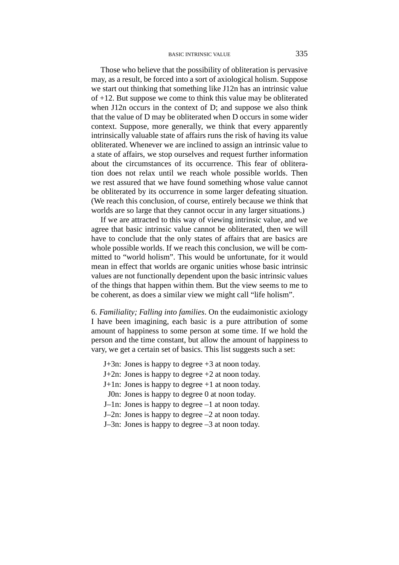Those who believe that the possibility of obliteration is pervasive may, as a result, be forced into a sort of axiological holism. Suppose we start out thinking that something like J12n has an intrinsic value of  $+12$ . But suppose we come to think this value may be obliterated when J12n occurs in the context of D; and suppose we also think that the value of D may be obliterated when D occurs in some wider context. Suppose, more generally, we think that every apparently intrinsically valuable state of affairs runs the risk of having its value obliterated. Whenever we are inclined to assign an intrinsic value to a state of affairs, we stop ourselves and request further information about the circumstances of its occurrence. This fear of obliteration does not relax until we reach whole possible worlds. Then we rest assured that we have found something whose value cannot be obliterated by its occurrence in some larger defeating situation. (We reach this conclusion, of course, entirely because we think that worlds are so large that they cannot occur in any larger situations.)

If we are attracted to this way of viewing intrinsic value, and we agree that basic intrinsic value cannot be obliterated, then we will have to conclude that the only states of affairs that are basics are whole possible worlds. If we reach this conclusion, we will be committed to "world holism". This would be unfortunate, for it would mean in effect that worlds are organic unities whose basic intrinsic values are not functionally dependent upon the basic intrinsic values of the things that happen within them. But the view seems to me to be coherent, as does a similar view we might call "life holism".

6. *Familiality; Falling into families*. On the eudaimonistic axiology I have been imagining, each basic is a pure attribution of some amount of happiness to some person at some time. If we hold the person and the time constant, but allow the amount of happiness to vary, we get a certain set of basics. This list suggests such a set:

- J+3n: Jones is happy to degree +3 at noon today.
- $J+2n$ : Jones is happy to degree  $+2$  at noon today.
- $J+1n$ : Jones is happy to degree  $+1$  at noon today.
- J0n: Jones is happy to degree 0 at noon today.
- J–1n: Jones is happy to degree –1 at noon today.
- J–2n: Jones is happy to degree –2 at noon today.
- J–3n: Jones is happy to degree –3 at noon today.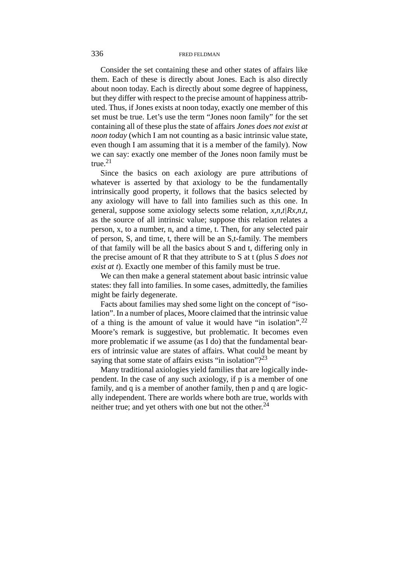Consider the set containing these and other states of affairs like them. Each of these is directly about Jones. Each is also directly about noon today. Each is directly about some degree of happiness, but they differ with respect to the precise amount of happiness attributed. Thus, if Jones exists at noon today, exactly one member of this set must be true. Let's use the term "Jones noon family" for the set containing all of these plus the state of affairs *Jones does not exist at noon today* (which I am not counting as a basic intrinsic value state, even though I am assuming that it is a member of the family). Now we can say: exactly one member of the Jones noon family must be  $true<sup>.21</sup>$ 

Since the basics on each axiology are pure attributions of whatever is asserted by that axiology to be the fundamentally intrinsically good property, it follows that the basics selected by any axiology will have to fall into families such as this one. In general, suppose some axiology selects some relation, *x,n,t*|*Rx,n,t*, as the source of all intrinsic value; suppose this relation relates a person, x, to a number, n, and a time, t. Then, for any selected pair of person, S, and time, t, there will be an S,t-family. The members of that family will be all the basics about S and t, differing only in the precise amount of R that they attribute to S at t (plus *S does not exist at t*). Exactly one member of this family must be true.

We can then make a general statement about basic intrinsic value states: they fall into families. In some cases, admittedly, the families might be fairly degenerate.

Facts about families may shed some light on the concept of "isolation". In a number of places, Moore claimed that the intrinsic value of a thing is the amount of value it would have "in isolation".<sup>22</sup> Moore's remark is suggestive, but problematic. It becomes even more problematic if we assume (as I do) that the fundamental bearers of intrinsic value are states of affairs. What could be meant by saying that some state of affairs exists "in isolation"?<sup>23</sup>

Many traditional axiologies yield families that are logically independent. In the case of any such axiology, if p is a member of one family, and q is a member of another family, then p and q are logically independent. There are worlds where both are true, worlds with neither true; and yet others with one but not the other.  $24$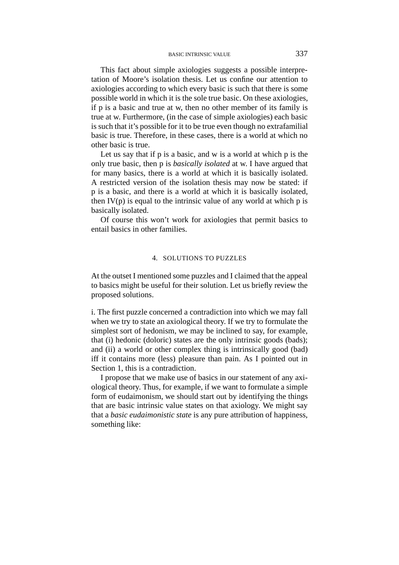This fact about simple axiologies suggests a possible interpretation of Moore's isolation thesis. Let us confine our attention to axiologies according to which every basic is such that there is some possible world in which it is the sole true basic. On these axiologies, if p is a basic and true at w, then no other member of its family is true at w. Furthermore, (in the case of simple axiologies) each basic is such that it's possible for it to be true even though no extrafamilial basic is true. Therefore, in these cases, there is a world at which no other basic is true.

Let us say that if p is a basic, and w is a world at which p is the only true basic, then p is *basically isolated* at w. I have argued that for many basics, there is a world at which it is basically isolated. A restricted version of the isolation thesis may now be stated: if p is a basic, and there is a world at which it is basically isolated, then  $IV(p)$  is equal to the intrinsic value of any world at which  $p$  is basically isolated.

Of course this won't work for axiologies that permit basics to entail basics in other families.

#### 4. SOLUTIONS TO PUZZLES

At the outset I mentioned some puzzles and I claimed that the appeal to basics might be useful for their solution. Let us briefly review the proposed solutions.

i. The first puzzle concerned a contradiction into which we may fall when we try to state an axiological theory. If we try to formulate the simplest sort of hedonism, we may be inclined to say, for example, that (i) hedonic (doloric) states are the only intrinsic goods (bads); and (ii) a world or other complex thing is intrinsically good (bad) iff it contains more (less) pleasure than pain. As I pointed out in Section 1, this is a contradiction.

I propose that we make use of basics in our statement of any axiological theory. Thus, for example, if we want to formulate a simple form of eudaimonism, we should start out by identifying the things that are basic intrinsic value states on that axiology. We might say that a *basic eudaimonistic state* is any pure attribution of happiness, something like: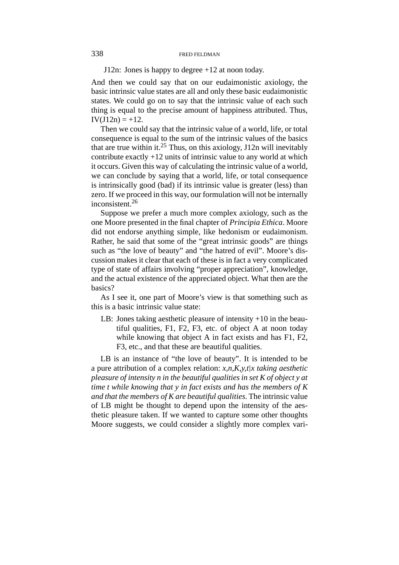J12n: Jones is happy to degree +12 at noon today.

And then we could say that on our eudaimonistic axiology, the basic intrinsic value states are all and only these basic eudaimonistic states. We could go on to say that the intrinsic value of each such thing is equal to the precise amount of happiness attributed. Thus,  $IV(J12n) = +12.$ 

Then we could say that the intrinsic value of a world, life, or total consequence is equal to the sum of the intrinsic values of the basics that are true within it.<sup>25</sup> Thus, on this axiology, J12n will inevitably contribute exactly +12 units of intrinsic value to any world at which it occurs. Given this way of calculating the intrinsic value of a world, we can conclude by saying that a world, life, or total consequence is intrinsically good (bad) if its intrinsic value is greater (less) than zero. If we proceed in this way, our formulation will not be internally inconsistent.<sup>26</sup>

Suppose we prefer a much more complex axiology, such as the one Moore presented in the final chapter of *Principia Ethica*. Moore did not endorse anything simple, like hedonism or eudaimonism. Rather, he said that some of the "great intrinsic goods" are things such as "the love of beauty" and "the hatred of evil". Moore's discussion makes it clear that each of these is in fact a very complicated type of state of affairs involving "proper appreciation", knowledge, and the actual existence of the appreciated object. What then are the basics?

As I see it, one part of Moore's view is that something such as this is a basic intrinsic value state:

LB: Jones taking aesthetic pleasure of intensity +10 in the beautiful qualities, F1, F2, F3, etc. of object A at noon today while knowing that object A in fact exists and has F1, F2, F3, etc., and that these are beautiful qualities.

LB is an instance of "the love of beauty". It is intended to be a pure attribution of a complex relation: *x,n,K,y,t*|*x taking aesthetic pleasure of intensity n in the beautiful qualities in set K of object y at time t while knowing that y in fact exists and has the members of K and that the members of K are beautiful qualities*. The intrinsic value of LB might be thought to depend upon the intensity of the aesthetic pleasure taken. If we wanted to capture some other thoughts Moore suggests, we could consider a slightly more complex vari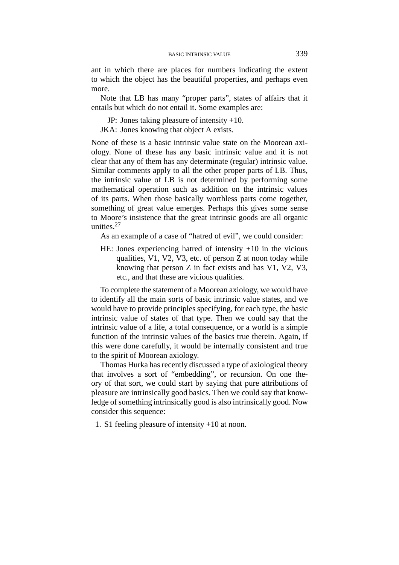ant in which there are places for numbers indicating the extent to which the object has the beautiful properties, and perhaps even more.

Note that LB has many "proper parts", states of affairs that it entails but which do not entail it. Some examples are:

JP: Jones taking pleasure of intensity +10.

JKA: Jones knowing that object A exists.

None of these is a basic intrinsic value state on the Moorean axiology. None of these has any basic intrinsic value and it is not clear that any of them has any determinate (regular) intrinsic value. Similar comments apply to all the other proper parts of LB. Thus, the intrinsic value of LB is not determined by performing some mathematical operation such as addition on the intrinsic values of its parts. When those basically worthless parts come together, something of great value emerges. Perhaps this gives some sense to Moore's insistence that the great intrinsic goods are all organic unities.<sup>27</sup>

As an example of a case of "hatred of evil", we could consider:

HE: Jones experiencing hatred of intensity +10 in the vicious qualities, V1, V2, V3, etc. of person Z at noon today while knowing that person Z in fact exists and has V1, V2, V3, etc., and that these are vicious qualities.

To complete the statement of a Moorean axiology, we would have to identify all the main sorts of basic intrinsic value states, and we would have to provide principles specifying, for each type, the basic intrinsic value of states of that type. Then we could say that the intrinsic value of a life, a total consequence, or a world is a simple function of the intrinsic values of the basics true therein. Again, if this were done carefully, it would be internally consistent and true to the spirit of Moorean axiology.

Thomas Hurka has recently discussed a type of axiological theory that involves a sort of "embedding", or recursion. On one theory of that sort, we could start by saying that pure attributions of pleasure are intrinsically good basics. Then we could say that knowledge of something intrinsically good is also intrinsically good. Now consider this sequence:

1. S1 feeling pleasure of intensity +10 at noon.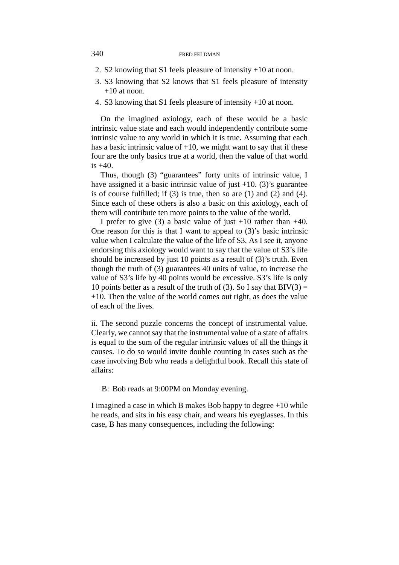- 2. S2 knowing that S1 feels pleasure of intensity +10 at noon.
- 3. S3 knowing that S2 knows that S1 feels pleasure of intensity  $+10$  at noon.
- 4. S3 knowing that S1 feels pleasure of intensity +10 at noon.

On the imagined axiology, each of these would be a basic intrinsic value state and each would independently contribute some intrinsic value to any world in which it is true. Assuming that each has a basic intrinsic value of  $+10$ , we might want to say that if these four are the only basics true at a world, then the value of that world is +40.

Thus, though (3) "guarantees" forty units of intrinsic value, I have assigned it a basic intrinsic value of just  $+10$ . (3)'s guarantee is of course fulfilled; if  $(3)$  is true, then so are  $(1)$  and  $(2)$  and  $(4)$ . Since each of these others is also a basic on this axiology, each of them will contribute ten more points to the value of the world.

I prefer to give  $(3)$  a basic value of just  $+10$  rather than  $+40$ . One reason for this is that I want to appeal to (3)'s basic intrinsic value when I calculate the value of the life of S3. As I see it, anyone endorsing this axiology would want to say that the value of S3's life should be increased by just 10 points as a result of (3)'s truth. Even though the truth of (3) guarantees 40 units of value, to increase the value of S3's life by 40 points would be excessive. S3's life is only 10 points better as a result of the truth of (3). So I say that  $\text{BIV}(3) =$  $+10$ . Then the value of the world comes out right, as does the value of each of the lives.

ii. The second puzzle concerns the concept of instrumental value. Clearly, we cannot say that the instrumental value of a state of affairs is equal to the sum of the regular intrinsic values of all the things it causes. To do so would invite double counting in cases such as the case involving Bob who reads a delightful book. Recall this state of affairs:

B: Bob reads at 9:00PM on Monday evening.

I imagined a case in which B makes Bob happy to degree +10 while he reads, and sits in his easy chair, and wears his eyeglasses. In this case, B has many consequences, including the following: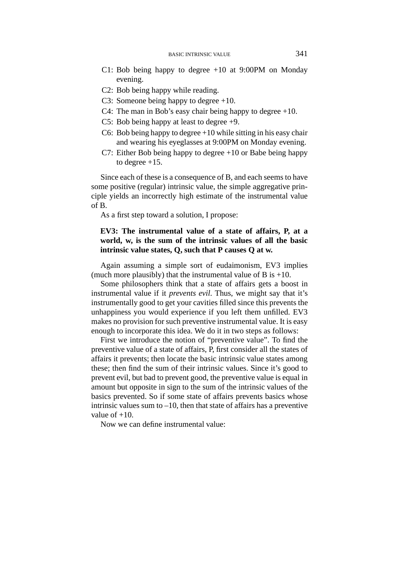- C1: Bob being happy to degree  $+10$  at 9:00PM on Monday evening.
- C2: Bob being happy while reading.
- C3: Someone being happy to degree +10.
- C4: The man in Bob's easy chair being happy to degree +10.
- C5: Bob being happy at least to degree +9.
- C6: Bob being happy to degree +10 while sitting in his easy chair and wearing his eyeglasses at 9:00PM on Monday evening.
- C7: Either Bob being happy to degree +10 or Babe being happy to degree  $+15$ .

Since each of these is a consequence of B, and each seems to have some positive (regular) intrinsic value, the simple aggregative principle yields an incorrectly high estimate of the instrumental value of B.

As a first step toward a solution, I propose:

# **EV3: The instrumental value of a state of affairs, P, at a world, w, is the sum of the intrinsic values of all the basic intrinsic value states, Q, such that P causes Q at w.**

Again assuming a simple sort of eudaimonism, EV3 implies (much more plausibly) that the instrumental value of B is  $+10$ .

Some philosophers think that a state of affairs gets a boost in instrumental value if it *prevents evil*. Thus, we might say that it's instrumentally good to get your cavities filled since this prevents the unhappiness you would experience if you left them unfilled. EV3 makes no provision for such preventive instrumental value. It is easy enough to incorporate this idea. We do it in two steps as follows:

First we introduce the notion of "preventive value". To find the preventive value of a state of affairs, P, first consider all the states of affairs it prevents; then locate the basic intrinsic value states among these; then find the sum of their intrinsic values. Since it's good to prevent evil, but bad to prevent good, the preventive value is equal in amount but opposite in sign to the sum of the intrinsic values of the basics prevented. So if some state of affairs prevents basics whose intrinsic values sum to  $-10$ , then that state of affairs has a preventive value of  $+10$ .

Now we can define instrumental value: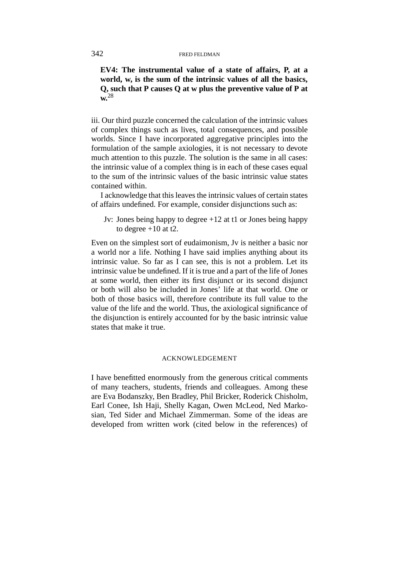**EV4: The instrumental value of a state of affairs, P, at a world, w, is the sum of the intrinsic values of all the basics, Q, such that P causes Q at w plus the preventive value of P at w.**<sup>28</sup>

iii. Our third puzzle concerned the calculation of the intrinsic values of complex things such as lives, total consequences, and possible worlds. Since I have incorporated aggregative principles into the formulation of the sample axiologies, it is not necessary to devote much attention to this puzzle. The solution is the same in all cases: the intrinsic value of a complex thing is in each of these cases equal to the sum of the intrinsic values of the basic intrinsic value states contained within.

I acknowledge that this leaves the intrinsic values of certain states of affairs undefined. For example, consider disjunctions such as:

Jv: Jones being happy to degree +12 at t1 or Jones being happy to degree  $+10$  at t2.

Even on the simplest sort of eudaimonism, Jv is neither a basic nor a world nor a life. Nothing I have said implies anything about its intrinsic value. So far as I can see, this is not a problem. Let its intrinsic value be undefined. If it is true and a part of the life of Jones at some world, then either its first disjunct or its second disjunct or both will also be included in Jones' life at that world. One or both of those basics will, therefore contribute its full value to the value of the life and the world. Thus, the axiological significance of the disjunction is entirely accounted for by the basic intrinsic value states that make it true.

#### ACKNOWLEDGEMENT

I have benefitted enormously from the generous critical comments of many teachers, students, friends and colleagues. Among these are Eva Bodanszky, Ben Bradley, Phil Bricker, Roderick Chisholm, Earl Conee, Ish Haji, Shelly Kagan, Owen McLeod, Ned Markosian, Ted Sider and Michael Zimmerman. Some of the ideas are developed from written work (cited below in the references) of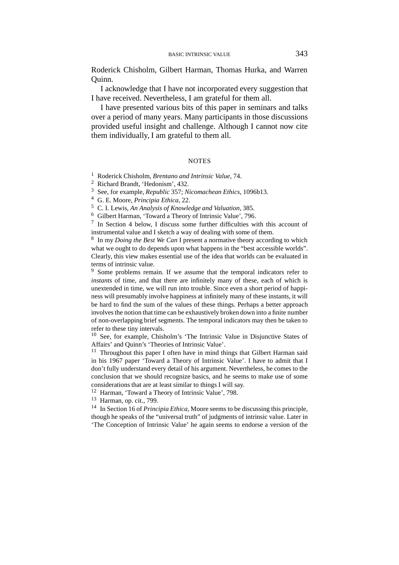Roderick Chisholm, Gilbert Harman, Thomas Hurka, and Warren Quinn.

I acknowledge that I have not incorporated every suggestion that I have received. Nevertheless, I am grateful for them all.

I have presented various bits of this paper in seminars and talks over a period of many years. Many participants in those discussions provided useful insight and challenge. Although I cannot now cite them individually, I am grateful to them all.

#### **NOTES**

<sup>1</sup> Roderick Chisholm, *Brentano and Intrinsic Value*, 74.

<sup>2</sup> Richard Brandt, 'Hedonism', 432.

<sup>3</sup> See, for example, *Republic* 357; *Nicomachean Ethics*, 1096b13.

<sup>4</sup> G. E. Moore, *Principia Ethica*, 22.

<sup>5</sup> C. I. Lewis, *An Analysis of Knowledge and Valuation*, 385.

<sup>6</sup> Gilbert Harman, 'Toward a Theory of Intrinsic Value', 796.

<sup>7</sup> In Section 4 below, I discuss some further difficulties with this account of instrumental value and I sketch a way of dealing with some of them.

<sup>8</sup> In my *Doing the Best We Can* I present a normative theory according to which what we ought to do depends upon what happens in the "best accessible worlds". Clearly, this view makes essential use of the idea that worlds can be evaluated in terms of intrinsic value.

<sup>9</sup> Some problems remain. If we assume that the temporal indicators refer to *instants* of time, and that there are infinitely many of these, each of which is unextended in time, we will run into trouble. Since even a short period of happiness will presumably involve happiness at infinitely many of these instants, it will be hard to find the sum of the values of these things. Perhaps a better approach involves the notion that time can be exhaustively broken down into a finite number of non-overlapping brief segments. The temporal indicators may then be taken to refer to these tiny intervals.

<sup>10</sup> See, for example, Chisholm's 'The Intrinsic Value in Disjunctive States of Affairs' and Quinn's 'Theories of Intrinsic Value'.

<sup>11</sup> Throughout this paper I often have in mind things that Gilbert Harman said in his 1967 paper 'Toward a Theory of Intrinsic Value'. I have to admit that I don't fully understand every detail of his argument. Nevertheless, he comes to the conclusion that we should recognize basics, and he seems to make use of some considerations that are at least similar to things I will say.

<sup>12</sup> Harman, 'Toward a Theory of Intrinsic Value', 798.

<sup>13</sup> Harman, op. cit., 799.

<sup>14</sup> In Section 16 of *Principia Ethica*, Moore seems to be discussing this principle, though he speaks of the "universal truth" of judgments of intrinsic value. Later in 'The Conception of Intrinsic Value' he again seems to endorse a version of the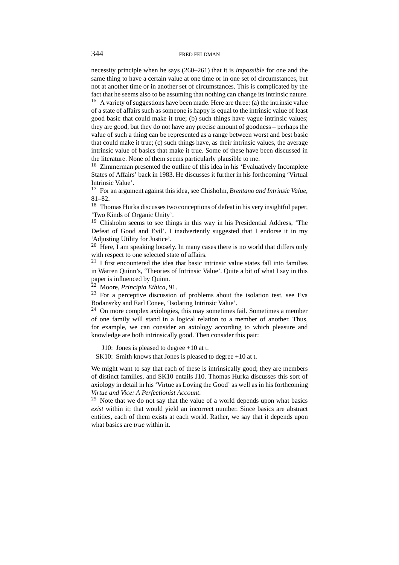necessity principle when he says (260–261) that it is *impossible* for one and the same thing to have a certain value at one time or in one set of circumstances, but not at another time or in another set of circumstances. This is complicated by the fact that he seems also to be assuming that nothing can change its intrinsic nature. <sup>15</sup> A variety of suggestions have been made. Here are three: (a) the intrinsic value of a state of affairs such as someone is happy is equal to the intrinsic value of least good basic that could make it true; (b) such things have vague intrinsic values; they are good, but they do not have any precise amount of goodness – perhaps the value of such a thing can be represented as a range between worst and best basic that could make it true; (c) such things have, as their intrinsic values, the average intrinsic value of basics that make it true. Some of these have been discussed in the literature. None of them seems particularly plausible to me.

<sup>16</sup> Zimmerman presented the outline of this idea in his 'Evaluatively Incomplete States of Affairs' back in 1983. He discusses it further in his forthcoming 'Virtual Intrinsic Value'.

<sup>17</sup> For an argument against this idea, see Chisholm, *Brentano and Intrinsic Value*, 81–82.

<sup>18</sup> Thomas Hurka discusses two conceptions of defeat in his very insightful paper, 'Two Kinds of Organic Unity'.

<sup>19</sup> Chisholm seems to see things in this way in his Presidential Address, 'The Defeat of Good and Evil'. I inadvertently suggested that I endorse it in my 'Adjusting Utility for Justice'.

<sup>20</sup> Here, I am speaking loosely. In many cases there is no world that differs only with respect to one selected state of affairs.

 $21$  I first encountered the idea that basic intrinsic value states fall into families in Warren Quinn's, 'Theories of Intrinsic Value'. Quite a bit of what I say in this paper is influenced by Quinn.

<sup>22</sup> Moore, *Principia Ethica*, 91.

<sup>23</sup> For a perceptive discussion of problems about the isolation test, see Eva Bodanszky and Earl Conee, 'Isolating Intrinsic Value'.

 $24$  On more complex axiologies, this may sometimes fail. Sometimes a member of one family will stand in a logical relation to a member of another. Thus, for example, we can consider an axiology according to which pleasure and knowledge are both intrinsically good. Then consider this pair:

J10: Jones is pleased to degree +10 at t.

SK10: Smith knows that Jones is pleased to degree +10 at t.

We might want to say that each of these is intrinsically good; they are members of distinct families, and SK10 entails J10. Thomas Hurka discusses this sort of axiology in detail in his 'Virtue as Loving the Good' as well as in his forthcoming *Virtue and Vice: A Perfectionist Account*.

 $25$  Note that we do not say that the value of a world depends upon what basics *exist* within it; that would yield an incorrect number. Since basics are abstract entities, each of them exists at each world. Rather, we say that it depends upon what basics are *true* within it.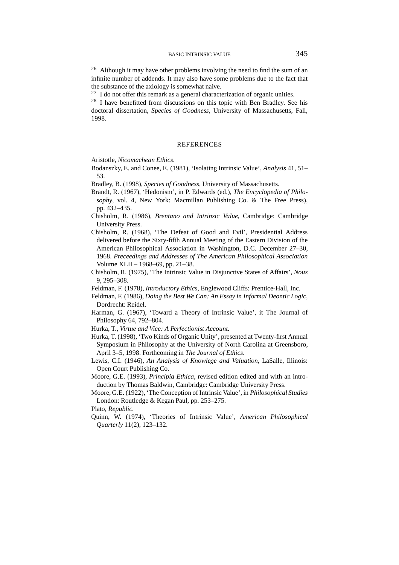<sup>26</sup> Although it may have other problems involving the need to find the sum of an infinite number of addends. It may also have some problems due to the fact that the substance of the axiology is somewhat naive.

 $27$  I do not offer this remark as a general characterization of organic unities.

 $28$  I have benefitted from discussions on this topic with Ben Bradley. See his doctoral dissertation, *Species of Goodness*, University of Massachusetts, Fall, 1998.

#### REFERENCES

Aristotle, *Nicomachean Ethics*.

- Bodanszky, E. and Conee, E. (1981), 'Isolating Intrinsic Value', *Analysis* 41, 51– 53.
- Bradley, B. (1998), *Species of Goodness*, University of Massachusetts.
- Brandt, R. (1967), 'Hedonism', in P. Edwards (ed.), *The Encyclopedia of Philosophy*, vol. 4, New York: Macmillan Publishing Co. & The Free Press), pp. 432–435.
- Chisholm, R. (1986), *Brentano and Intrinsic Value*, Cambridge: Cambridge University Press.
- Chisholm, R. (1968), 'The Defeat of Good and Evil', Presidential Address delivered before the Sixty-fifth Annual Meeting of the Eastern Division of the American Philosophical Association in Washington, D.C. December 27–30, 1968. *Preceedings and Addresses of The American Philosophical Association* Volume XLII – 1968–69, pp. 21–38.
- Chisholm, R. (1975), 'The Intrinsic Value in Disjunctive States of Affairs', *Nous* 9, 295–308.
- Feldman, F. (1978), *Introductory Ethics*, Englewood Cliffs: Prentice-Hall, Inc.
- Feldman, F. (1986), *Doing the Best We Can: An Essay in Informal Deontic Logic*, Dordrecht: Reidel.
- Harman, G. (1967), 'Toward a Theory of Intrinsic Value', it The Journal of Philosophy 64, 792–804.
- Hurka, T., *Virtue and Vice: A Perfectionist Account*.
- Hurka, T. (1998), 'Two Kinds of Organic Unity', presented at Twenty-first Annual Symposium in Philosophy at the University of North Carolina at Greensboro, April 3–5, 1998. Forthcoming in *The Journal of Ethics*.
- Lewis, C.I. (1946), *An Analysis of Knowlege and Valuation*, LaSalle, Illinois: Open Court Publishing Co.
- Moore, G.E. (1993), *Principia Ethica*, revised edition edited and with an introduction by Thomas Baldwin, Cambridge: Cambridge University Press.
- Moore, G.E. (1922), 'The Conception of Intrinsic Value', in *Philosophical Studies* London: Routledge & Kegan Paul, pp. 253–275.
- Plato, *Republic.*
- Quinn, W. (1974), 'Theories of Intrinsic Value', *American Philosophical Quarterly* 11(2), 123–132.